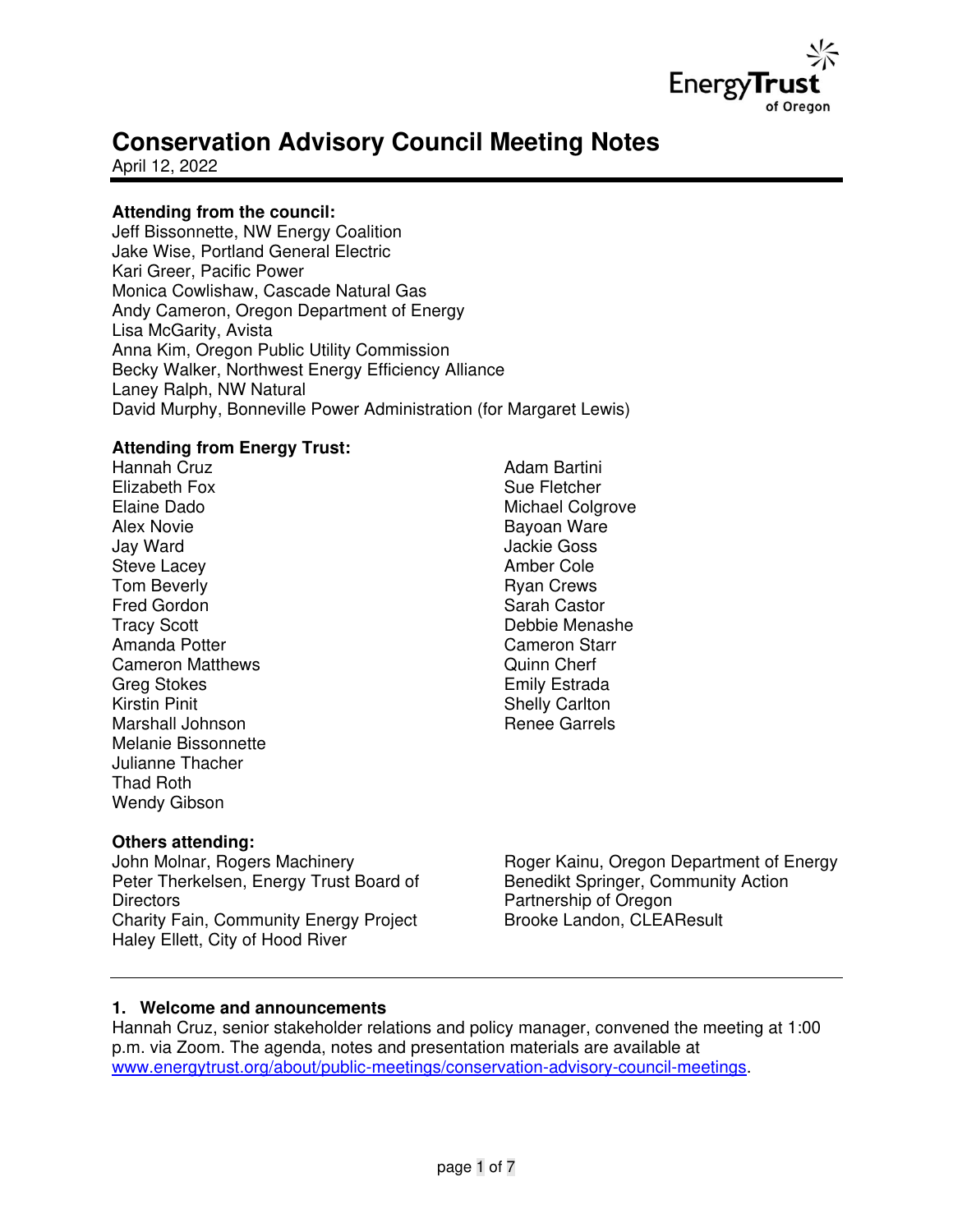

# **Conservation Advisory Council Meeting Notes**

April 12, 2022

# **Attending from the council:**

Jeff Bissonnette, NW Energy Coalition Jake Wise, Portland General Electric Kari Greer, Pacific Power Monica Cowlishaw, Cascade Natural Gas Andy Cameron, Oregon Department of Energy Lisa McGarity, Avista Anna Kim, Oregon Public Utility Commission Becky Walker, Northwest Energy Efficiency Alliance Laney Ralph, NW Natural David Murphy, Bonneville Power Administration (for Margaret Lewis)

## **Attending from Energy Trust:**

Hannah Cruz Elizabeth Fox Elaine Dado Alex Novie Jay Ward Steve Lacey Tom Beverly Fred Gordon Tracy Scott Amanda Potter Cameron Matthews Greg Stokes Kirstin Pinit Marshall Johnson Melanie Bissonnette Julianne Thacher Thad Roth Wendy Gibson

## **Others attending:**

John Molnar, Rogers Machinery Peter Therkelsen, Energy Trust Board of **Directors** Charity Fain, Community Energy Project Haley Ellett, City of Hood River

Adam Bartini Sue Fletcher Michael Colgrove Bayoan Ware Jackie Goss Amber Cole Ryan Crews Sarah Castor Debbie Menashe Cameron Starr Quinn Cherf Emily Estrada Shelly Carlton Renee Garrels

Roger Kainu, Oregon Department of Energy Benedikt Springer, Community Action Partnership of Oregon Brooke Landon, CLEAResult

## **1. Welcome and announcements**

Hannah Cruz, senior stakeholder relations and policy manager, convened the meeting at 1:00 p.m. via Zoom. The agenda, notes and presentation materials are available at [www.energytrust.org/about/public-meetings/conservation-advisory-council-meetings.](http://www.energytrust.org/about/public-meetings/conservation-advisory-council-meetings)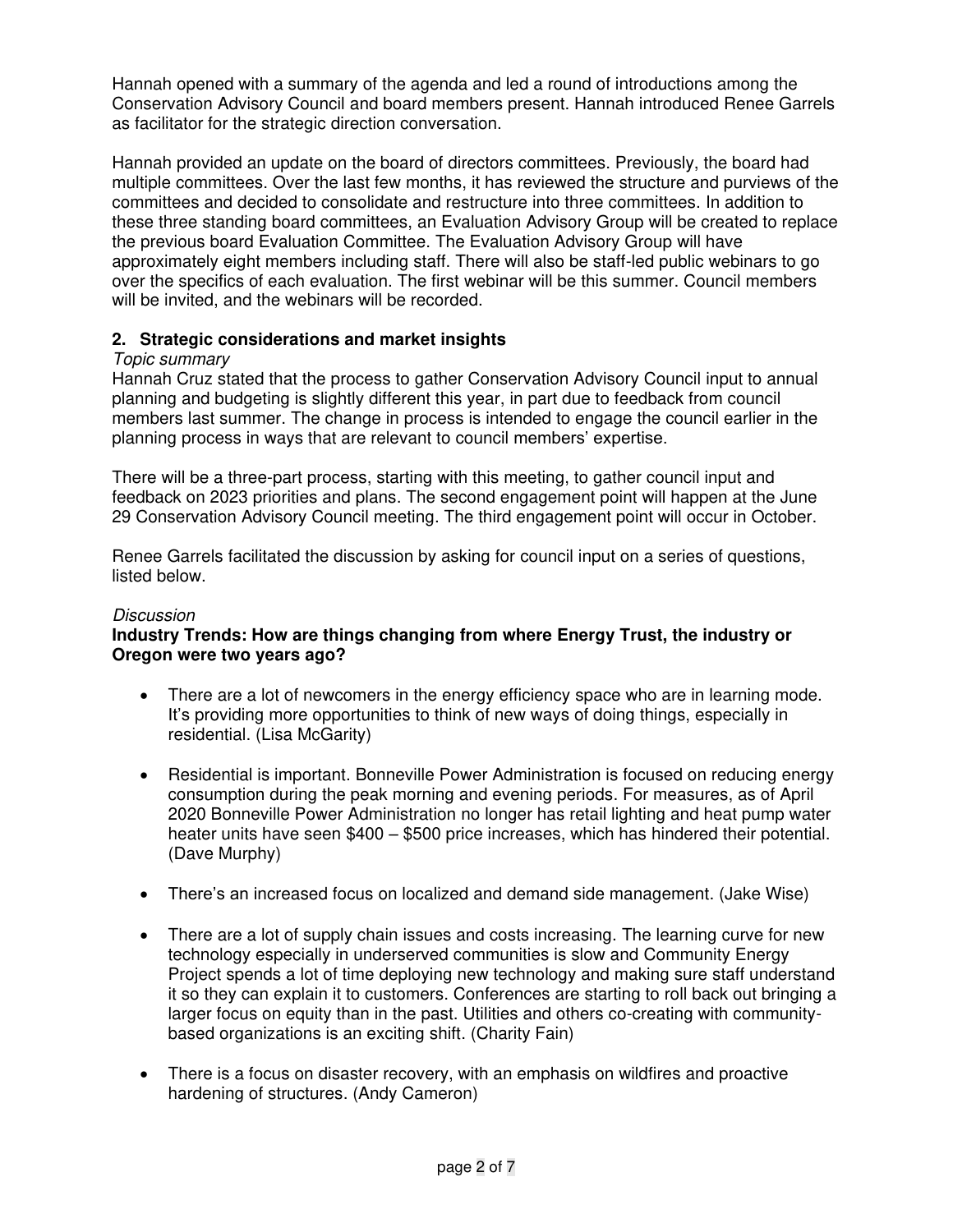Hannah opened with a summary of the agenda and led a round of introductions among the Conservation Advisory Council and board members present. Hannah introduced Renee Garrels as facilitator for the strategic direction conversation.

Hannah provided an update on the board of directors committees. Previously, the board had multiple committees. Over the last few months, it has reviewed the structure and purviews of the committees and decided to consolidate and restructure into three committees. In addition to these three standing board committees, an Evaluation Advisory Group will be created to replace the previous board Evaluation Committee. The Evaluation Advisory Group will have approximately eight members including staff. There will also be staff-led public webinars to go over the specifics of each evaluation. The first webinar will be this summer. Council members will be invited, and the webinars will be recorded.

## **2. Strategic considerations and market insights**

## Topic summary

Hannah Cruz stated that the process to gather Conservation Advisory Council input to annual planning and budgeting is slightly different this year, in part due to feedback from council members last summer. The change in process is intended to engage the council earlier in the planning process in ways that are relevant to council members' expertise.

There will be a three-part process, starting with this meeting, to gather council input and feedback on 2023 priorities and plans. The second engagement point will happen at the June 29 Conservation Advisory Council meeting. The third engagement point will occur in October.

Renee Garrels facilitated the discussion by asking for council input on a series of questions, listed below.

#### **Discussion**

## **Industry Trends: How are things changing from where Energy Trust, the industry or Oregon were two years ago?**

- There are a lot of newcomers in the energy efficiency space who are in learning mode. It's providing more opportunities to think of new ways of doing things, especially in residential. (Lisa McGarity)
- Residential is important. Bonneville Power Administration is focused on reducing energy consumption during the peak morning and evening periods. For measures, as of April 2020 Bonneville Power Administration no longer has retail lighting and heat pump water heater units have seen \$400 – \$500 price increases, which has hindered their potential. (Dave Murphy)
- There's an increased focus on localized and demand side management. (Jake Wise)
- There are a lot of supply chain issues and costs increasing. The learning curve for new technology especially in underserved communities is slow and Community Energy Project spends a lot of time deploying new technology and making sure staff understand it so they can explain it to customers. Conferences are starting to roll back out bringing a larger focus on equity than in the past. Utilities and others co-creating with communitybased organizations is an exciting shift. (Charity Fain)
- There is a focus on disaster recovery, with an emphasis on wildfires and proactive hardening of structures. (Andy Cameron)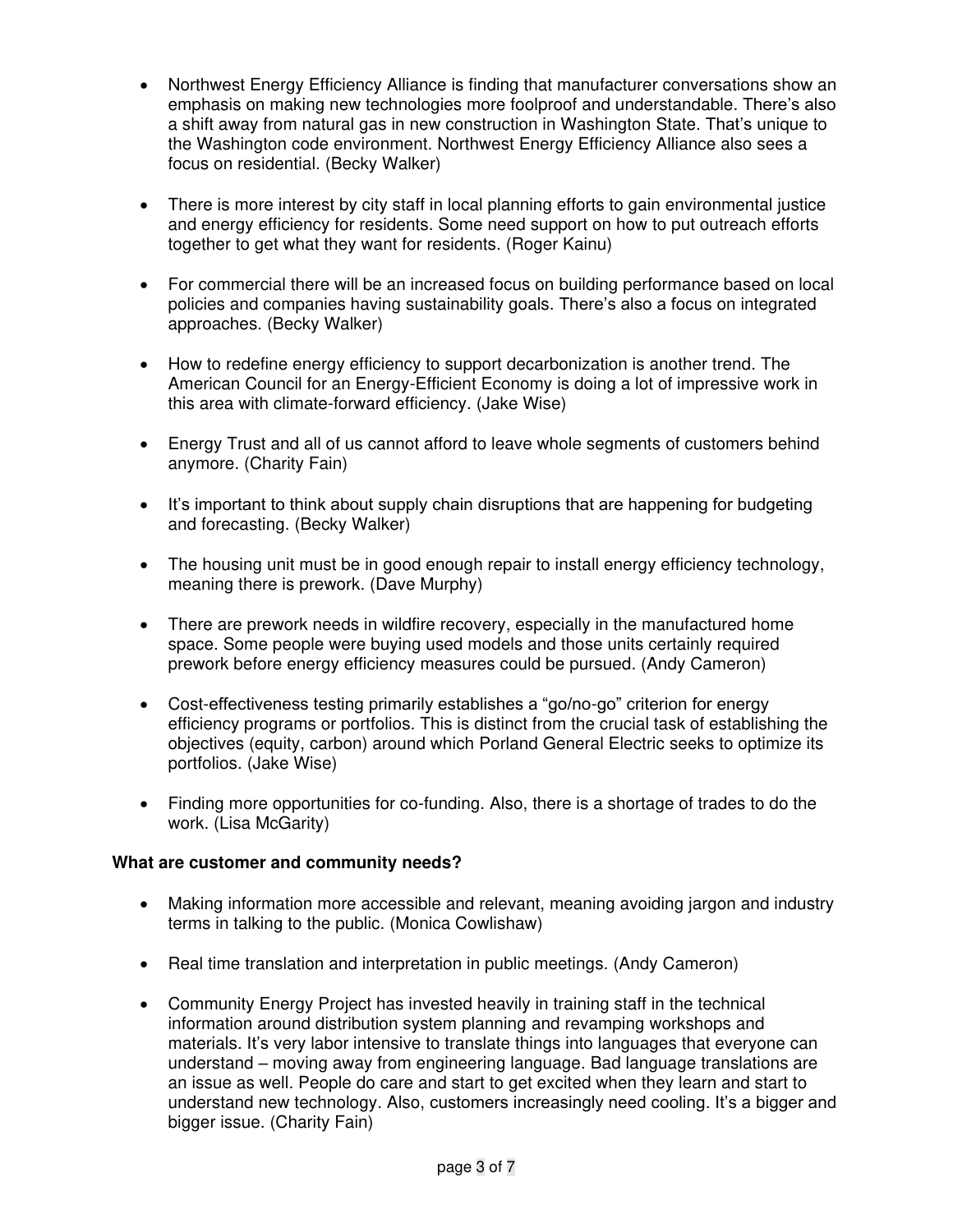- Northwest Energy Efficiency Alliance is finding that manufacturer conversations show an emphasis on making new technologies more foolproof and understandable. There's also a shift away from natural gas in new construction in Washington State. That's unique to the Washington code environment. Northwest Energy Efficiency Alliance also sees a focus on residential. (Becky Walker)
- There is more interest by city staff in local planning efforts to gain environmental justice and energy efficiency for residents. Some need support on how to put outreach efforts together to get what they want for residents. (Roger Kainu)
- For commercial there will be an increased focus on building performance based on local policies and companies having sustainability goals. There's also a focus on integrated approaches. (Becky Walker)
- How to redefine energy efficiency to support decarbonization is another trend. The American Council for an Energy-Efficient Economy is doing a lot of impressive work in this area with climate-forward efficiency. (Jake Wise)
- Energy Trust and all of us cannot afford to leave whole segments of customers behind anymore. (Charity Fain)
- It's important to think about supply chain disruptions that are happening for budgeting and forecasting. (Becky Walker)
- The housing unit must be in good enough repair to install energy efficiency technology, meaning there is prework. (Dave Murphy)
- There are prework needs in wildfire recovery, especially in the manufactured home space. Some people were buying used models and those units certainly required prework before energy efficiency measures could be pursued. (Andy Cameron)
- Cost-effectiveness testing primarily establishes a "go/no-go" criterion for energy efficiency programs or portfolios. This is distinct from the crucial task of establishing the objectives (equity, carbon) around which Porland General Electric seeks to optimize its portfolios. (Jake Wise)
- Finding more opportunities for co-funding. Also, there is a shortage of trades to do the work. (Lisa McGarity)

## **What are customer and community needs?**

- Making information more accessible and relevant, meaning avoiding jargon and industry terms in talking to the public. (Monica Cowlishaw)
- Real time translation and interpretation in public meetings. (Andy Cameron)
- Community Energy Project has invested heavily in training staff in the technical information around distribution system planning and revamping workshops and materials. It's very labor intensive to translate things into languages that everyone can understand – moving away from engineering language. Bad language translations are an issue as well. People do care and start to get excited when they learn and start to understand new technology. Also, customers increasingly need cooling. It's a bigger and bigger issue. (Charity Fain)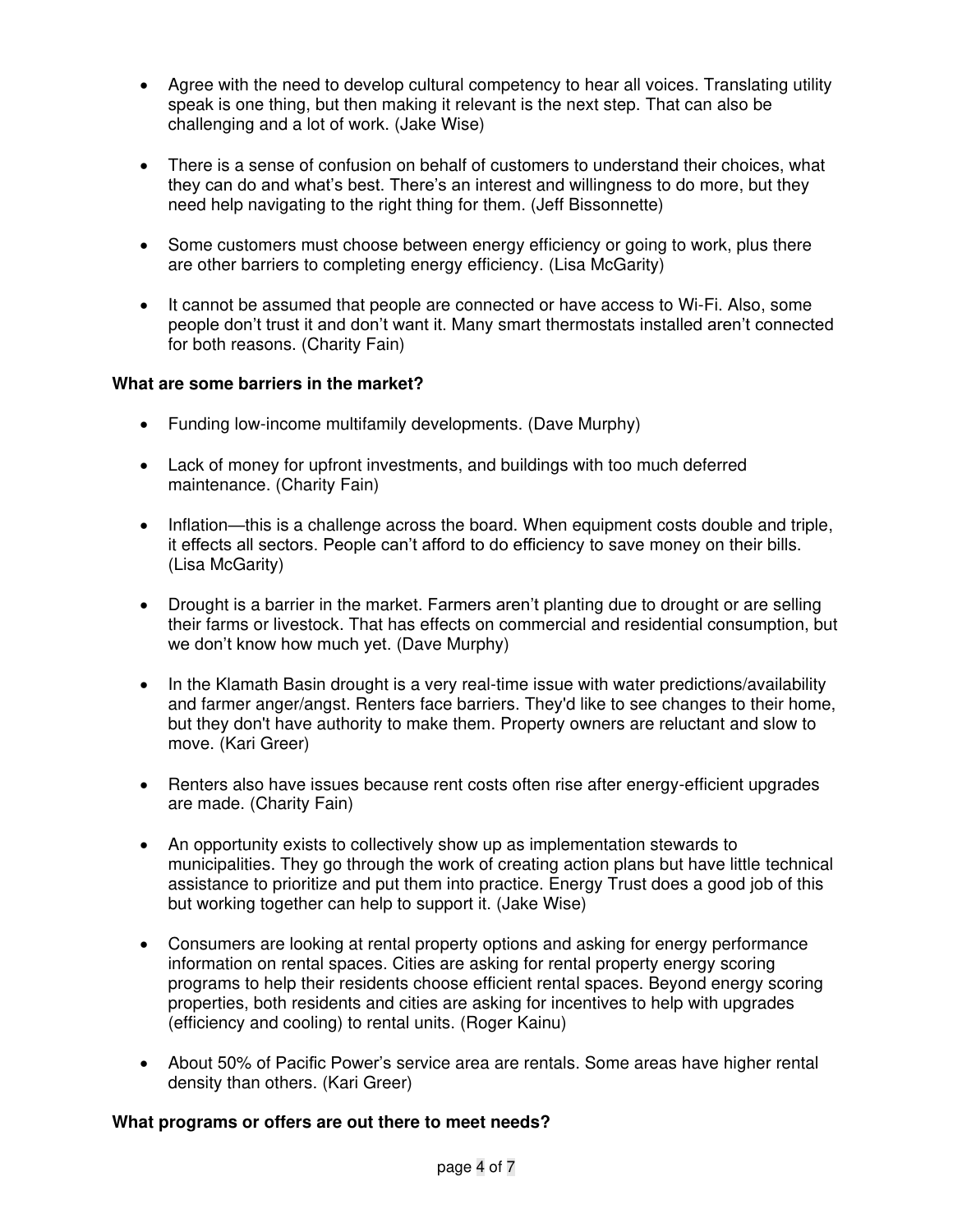- Agree with the need to develop cultural competency to hear all voices. Translating utility speak is one thing, but then making it relevant is the next step. That can also be challenging and a lot of work. (Jake Wise)
- There is a sense of confusion on behalf of customers to understand their choices, what they can do and what's best. There's an interest and willingness to do more, but they need help navigating to the right thing for them. (Jeff Bissonnette)
- Some customers must choose between energy efficiency or going to work, plus there are other barriers to completing energy efficiency. (Lisa McGarity)
- It cannot be assumed that people are connected or have access to Wi-Fi. Also, some people don't trust it and don't want it. Many smart thermostats installed aren't connected for both reasons. (Charity Fain)

## **What are some barriers in the market?**

- Funding low-income multifamily developments. (Dave Murphy)
- Lack of money for upfront investments, and buildings with too much deferred maintenance. (Charity Fain)
- Inflation—this is a challenge across the board. When equipment costs double and triple, it effects all sectors. People can't afford to do efficiency to save money on their bills. (Lisa McGarity)
- Drought is a barrier in the market. Farmers aren't planting due to drought or are selling their farms or livestock. That has effects on commercial and residential consumption, but we don't know how much yet. (Dave Murphy)
- In the Klamath Basin drought is a very real-time issue with water predictions/availability and farmer anger/angst. Renters face barriers. They'd like to see changes to their home, but they don't have authority to make them. Property owners are reluctant and slow to move. (Kari Greer)
- Renters also have issues because rent costs often rise after energy-efficient upgrades are made. (Charity Fain)
- An opportunity exists to collectively show up as implementation stewards to municipalities. They go through the work of creating action plans but have little technical assistance to prioritize and put them into practice. Energy Trust does a good job of this but working together can help to support it. (Jake Wise)
- Consumers are looking at rental property options and asking for energy performance information on rental spaces. Cities are asking for rental property energy scoring programs to help their residents choose efficient rental spaces. Beyond energy scoring properties, both residents and cities are asking for incentives to help with upgrades (efficiency and cooling) to rental units. (Roger Kainu)
- About 50% of Pacific Power's service area are rentals. Some areas have higher rental density than others. (Kari Greer)

## **What programs or offers are out there to meet needs?**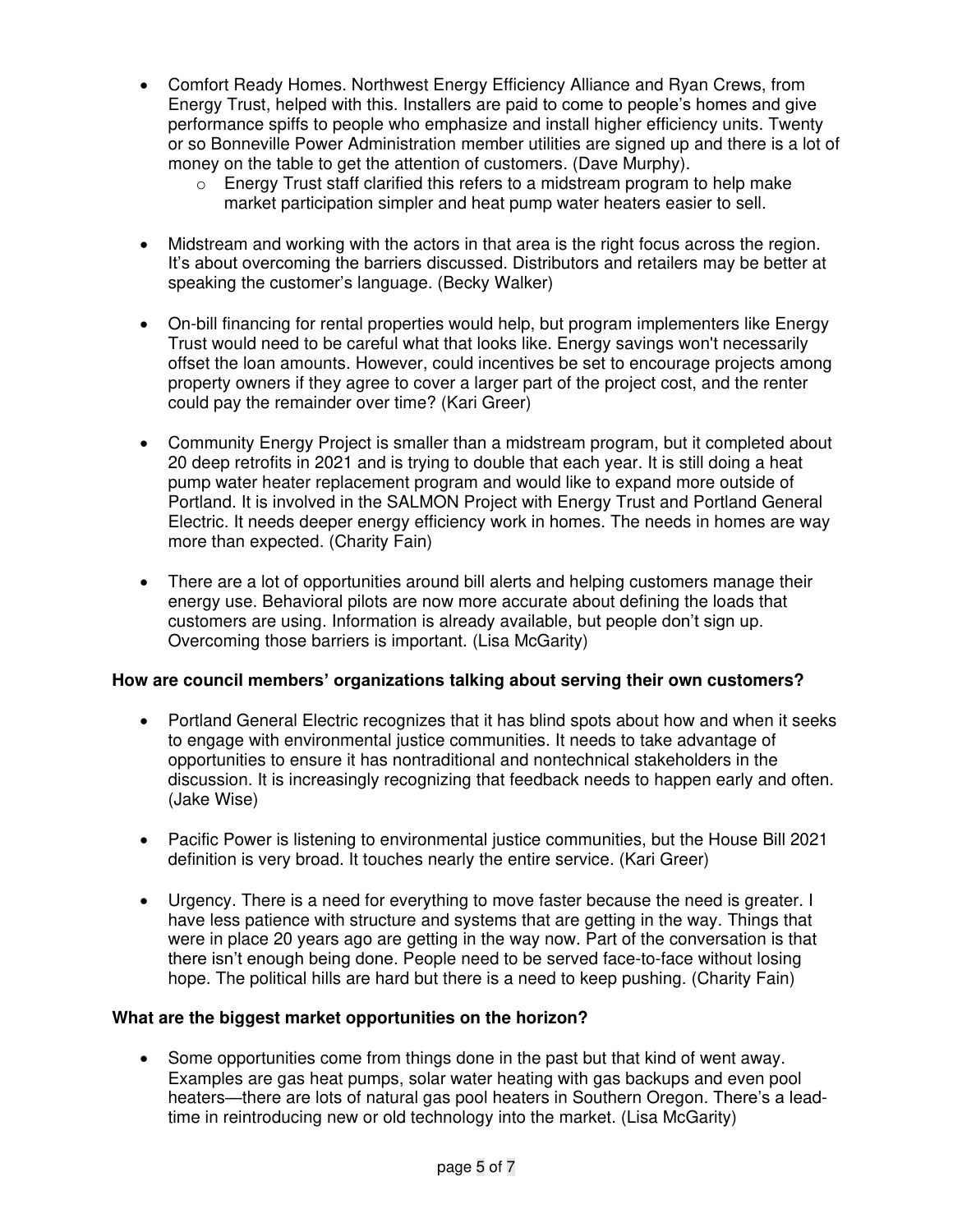- Comfort Ready Homes. Northwest Energy Efficiency Alliance and Ryan Crews, from Energy Trust, helped with this. Installers are paid to come to people's homes and give performance spiffs to people who emphasize and install higher efficiency units. Twenty or so Bonneville Power Administration member utilities are signed up and there is a lot of money on the table to get the attention of customers. (Dave Murphy).
	- $\circ$  Energy Trust staff clarified this refers to a midstream program to help make market participation simpler and heat pump water heaters easier to sell.
- Midstream and working with the actors in that area is the right focus across the region. It's about overcoming the barriers discussed. Distributors and retailers may be better at speaking the customer's language. (Becky Walker)
- On-bill financing for rental properties would help, but program implementers like Energy Trust would need to be careful what that looks like. Energy savings won't necessarily offset the loan amounts. However, could incentives be set to encourage projects among property owners if they agree to cover a larger part of the project cost, and the renter could pay the remainder over time? (Kari Greer)
- Community Energy Project is smaller than a midstream program, but it completed about 20 deep retrofits in 2021 and is trying to double that each year. It is still doing a heat pump water heater replacement program and would like to expand more outside of Portland. It is involved in the SALMON Project with Energy Trust and Portland General Electric. It needs deeper energy efficiency work in homes. The needs in homes are way more than expected. (Charity Fain)
- There are a lot of opportunities around bill alerts and helping customers manage their energy use. Behavioral pilots are now more accurate about defining the loads that customers are using. Information is already available, but people don't sign up. Overcoming those barriers is important. (Lisa McGarity)

## **How are council members' organizations talking about serving their own customers?**

- Portland General Electric recognizes that it has blind spots about how and when it seeks to engage with environmental justice communities. It needs to take advantage of opportunities to ensure it has nontraditional and nontechnical stakeholders in the discussion. It is increasingly recognizing that feedback needs to happen early and often. (Jake Wise)
- Pacific Power is listening to environmental justice communities, but the House Bill 2021 definition is very broad. It touches nearly the entire service. (Kari Greer)
- Urgency. There is a need for everything to move faster because the need is greater. I have less patience with structure and systems that are getting in the way. Things that were in place 20 years ago are getting in the way now. Part of the conversation is that there isn't enough being done. People need to be served face-to-face without losing hope. The political hills are hard but there is a need to keep pushing. (Charity Fain)

## **What are the biggest market opportunities on the horizon?**

• Some opportunities come from things done in the past but that kind of went away. Examples are gas heat pumps, solar water heating with gas backups and even pool heaters—there are lots of natural gas pool heaters in Southern Oregon. There's a leadtime in reintroducing new or old technology into the market. (Lisa McGarity)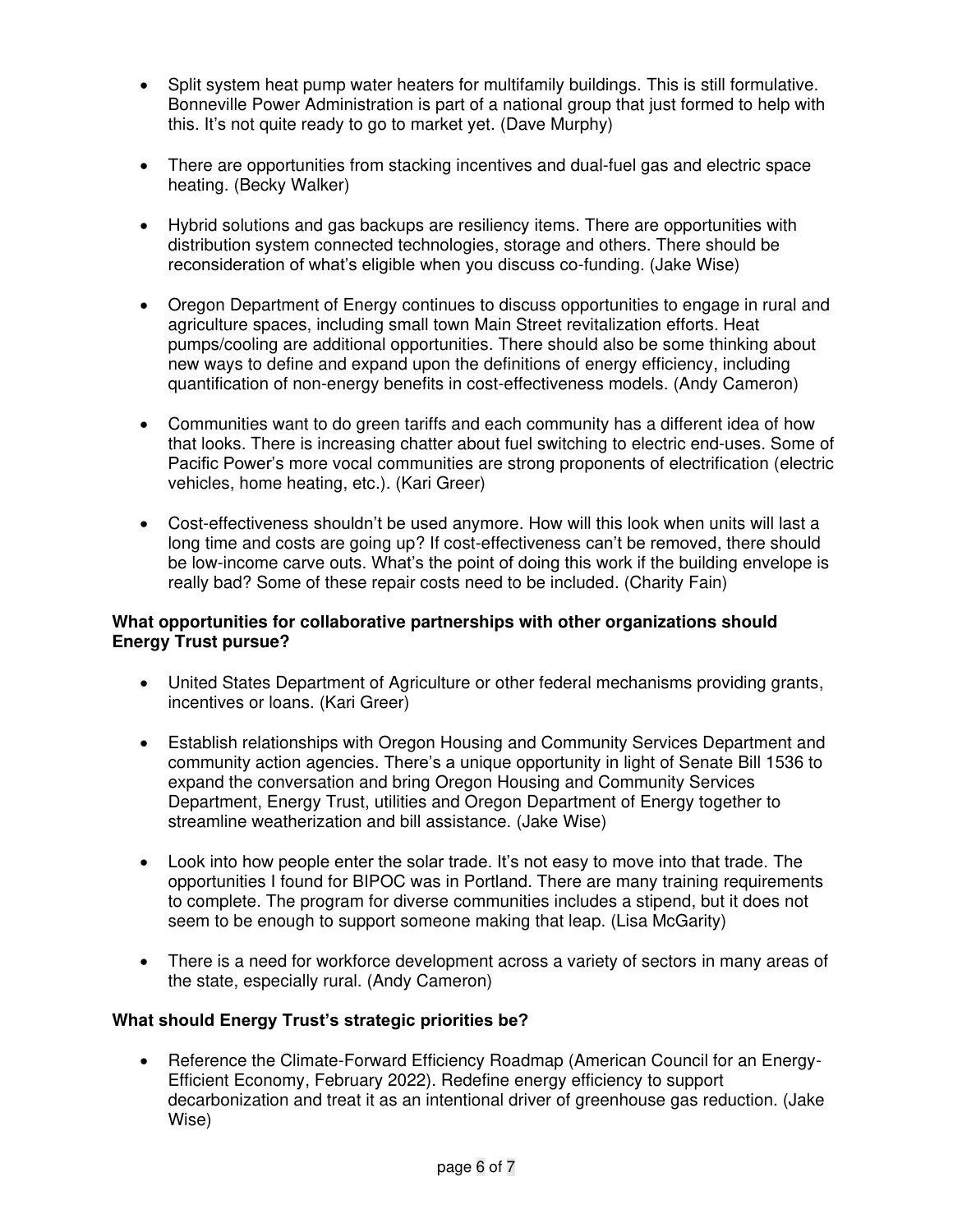- Split system heat pump water heaters for multifamily buildings. This is still formulative. Bonneville Power Administration is part of a national group that just formed to help with this. It's not quite ready to go to market yet. (Dave Murphy)
- There are opportunities from stacking incentives and dual-fuel gas and electric space heating. (Becky Walker)
- Hybrid solutions and gas backups are resiliency items. There are opportunities with distribution system connected technologies, storage and others. There should be reconsideration of what's eligible when you discuss co-funding. (Jake Wise)
- Oregon Department of Energy continues to discuss opportunities to engage in rural and agriculture spaces, including small town Main Street revitalization efforts. Heat pumps/cooling are additional opportunities. There should also be some thinking about new ways to define and expand upon the definitions of energy efficiency, including quantification of non-energy benefits in cost-effectiveness models. (Andy Cameron)
- Communities want to do green tariffs and each community has a different idea of how that looks. There is increasing chatter about fuel switching to electric end-uses. Some of Pacific Power's more vocal communities are strong proponents of electrification (electric vehicles, home heating, etc.). (Kari Greer)
- Cost-effectiveness shouldn't be used anymore. How will this look when units will last a long time and costs are going up? If cost-effectiveness can't be removed, there should be low-income carve outs. What's the point of doing this work if the building envelope is really bad? Some of these repair costs need to be included. (Charity Fain)

#### **What opportunities for collaborative partnerships with other organizations should Energy Trust pursue?**

- United States Department of Agriculture or other federal mechanisms providing grants, incentives or loans. (Kari Greer)
- Establish relationships with Oregon Housing and Community Services Department and community action agencies. There's a unique opportunity in light of Senate Bill 1536 to expand the conversation and bring Oregon Housing and Community Services Department, Energy Trust, utilities and Oregon Department of Energy together to streamline weatherization and bill assistance. (Jake Wise)
- Look into how people enter the solar trade. It's not easy to move into that trade. The opportunities I found for BIPOC was in Portland. There are many training requirements to complete. The program for diverse communities includes a stipend, but it does not seem to be enough to support someone making that leap. (Lisa McGarity)
- There is a need for workforce development across a variety of sectors in many areas of the state, especially rural. (Andy Cameron)

## **What should Energy Trust's strategic priorities be?**

• Reference the Climate-Forward Efficiency Roadmap (American Council for an Energy-Efficient Economy, February 2022). Redefine energy efficiency to support decarbonization and treat it as an intentional driver of greenhouse gas reduction. (Jake Wise)